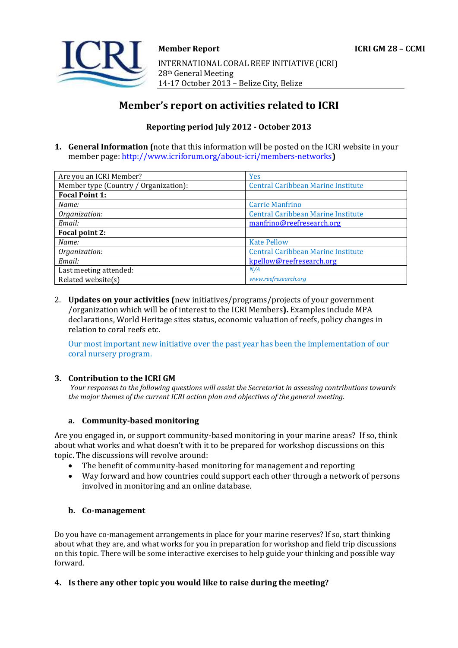

# **Member's report on activities related to ICRI**

## **Reporting period July 2012 - October 2013**

**1. General Information (**note that this information will be posted on the ICRI website in your member page[: http://www.icriforum.org/about-icri/members-networks](http://www.icriforum.org/about-icri/members-networks)**)** 

| Are you an ICRI Member?               | Yes                                       |
|---------------------------------------|-------------------------------------------|
| Member type (Country / Organization): | <b>Central Caribbean Marine Institute</b> |
| <b>Focal Point 1:</b>                 |                                           |
| Name:                                 | <b>Carrie Manfrino</b>                    |
| Organization:                         | <b>Central Caribbean Marine Institute</b> |
| Email:                                | manfrino@reefresearch.org                 |
| Focal point 2:                        |                                           |
| Name:                                 | <b>Kate Pellow</b>                        |
| Organization:                         | Central Caribbean Marine Institute        |
| Email:                                | kpellow@reefresearch.org                  |
| Last meeting attended:                | N/A                                       |
| Related website(s)                    | www.reefresearch.org                      |

2. **Updates on your activities (**new initiatives/programs/projects of your government /organization which will be of interest to the ICRI Members**).** Examples include MPA declarations, World Heritage sites status, economic valuation of reefs, policy changes in relation to coral reefs etc.

Our most important new initiative over the past year has been the implementation of our coral nursery program.

### **3. Contribution to the ICRI GM**

*Your responses to the following questions will assist the Secretariat in assessing contributions towards the major themes of the current ICRI action plan and objectives of the general meeting.*

#### **a. Community-based monitoring**

Are you engaged in, or support community-based monitoring in your marine areas? If so, think about what works and what doesn't with it to be prepared for workshop discussions on this topic. The discussions will revolve around:

- The benefit of community-based monitoring for management and reporting
- Way forward and how countries could support each other through a network of persons involved in monitoring and an online database.

### **b. Co-management**

Do you have co-management arrangements in place for your marine reserves? If so, start thinking about what they are, and what works for you in preparation for workshop and field trip discussions on this topic. There will be some interactive exercises to help guide your thinking and possible way forward.

### **4. Is there any other topic you would like to raise during the meeting?**